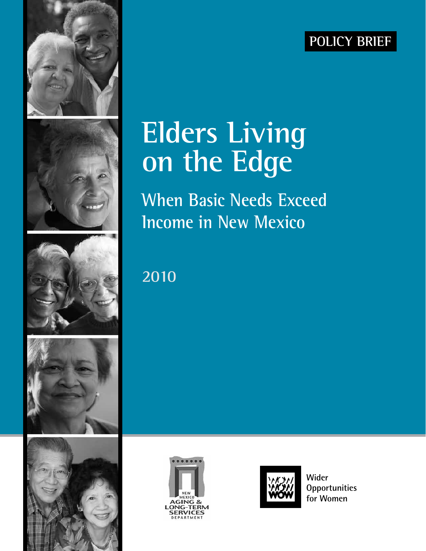### **Policy Brief**











## **Elders Living on the Edge**

**When Basic Needs Exceed Income in New Mexico**

**2010**





**Wider Opportunities for Women**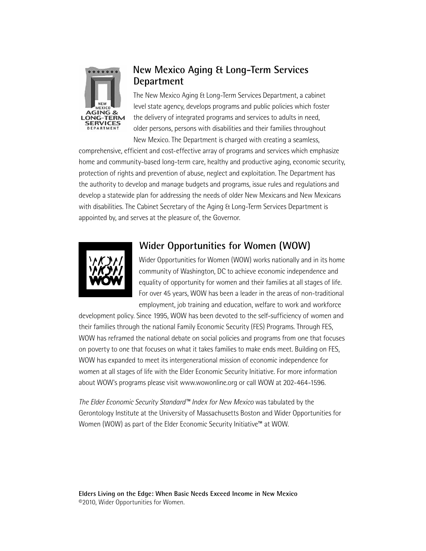

#### **New Mexico Aging & Long-Term Services Department**

The New Mexico Aging & Long-Term Services Department, a cabinet level state agency, develops programs and public policies which foster the delivery of integrated programs and services to adults in need, older persons, persons with disabilities and their families throughout New Mexico. The Department is charged with creating a seamless,

comprehensive, efficient and cost-effective array of programs and services which emphasize home and community-based long-term care, healthy and productive aging, economic security, protection of rights and prevention of abuse, neglect and exploitation. The Department has the authority to develop and manage budgets and programs, issue rules and regulations and develop a statewide plan for addressing the needs of older New Mexicans and New Mexicans with disabilities. The Cabinet Secretary of the Aging & Long-Term Services Department is appointed by, and serves at the pleasure of, the Governor.



#### **Wider Opportunities for Women (WOW)**

Wider Opportunities for Women (WOW) works nationally and in its home community of Washington, DC to achieve economic independence and equality of opportunity for women and their families at all stages of life. For over 45 years, WOW has been a leader in the areas of non-traditional employment, job training and education, welfare to work and workforce

development policy. Since 1995, WOW has been devoted to the self-sufficiency of women and their families through the national Family Economic Security (FES) Programs. Through FES, WOW has reframed the national debate on social policies and programs from one that focuses on poverty to one that focuses on what it takes families to make ends meet. Building on FES, WOW has expanded to meet its intergenerational mission of economic independence for women at all stages of life with the Elder Economic Security Initiative. For more information about WOW's programs please visit www.wowonline.org or call WOW at 202-464-1596.

*The Elder Economic Security Standard™ Index for New Mexico* was tabulated by the Gerontology Institute at the University of Massachusetts Boston and Wider Opportunities for Women (WOW) as part of the Elder Economic Security Initiative™ at WOW.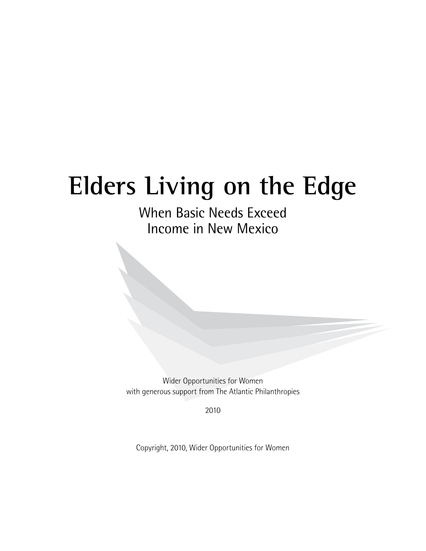## **Elders Living on the Edge**

When Basic Needs Exceed Income in New Mexico

Wider Opportunities for Women with generous support from The Atlantic Philanthropies

2010

Copyright, 2010, Wider Opportunities for Women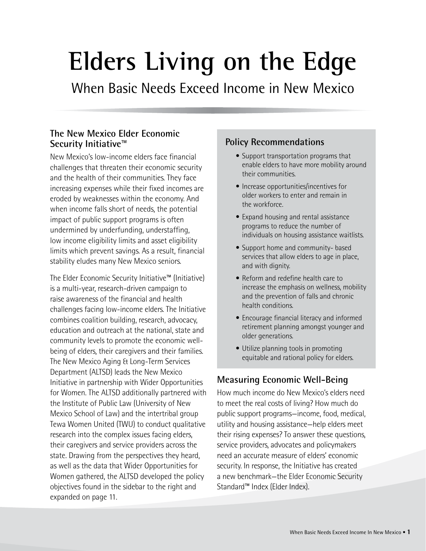# **Elders Living on the Edge**

When Basic Needs Exceed Income in New Mexico

#### **The New Mexico Elder Economic Security Initiative™**

New Mexico's low-income elders face financial challenges that threaten their economic security and the health of their communities. They face increasing expenses while their fixed incomes are eroded by weaknesses within the economy. And when income falls short of needs, the potential impact of public support programs is often undermined by underfunding, understaffing, low income eligibility limits and asset eligibility limits which prevent savings. As a result, financial stability eludes many New Mexico seniors.

The Elder Economic Security Initiative™ (Initiative) is a multi-year, research-driven campaign to raise awareness of the financial and health challenges facing low-income elders. The Initiative combines coalition building, research, advocacy, education and outreach at the national, state and community levels to promote the economic wellbeing of elders, their caregivers and their families. The New Mexico Aging & Long-Term Services Department (ALTSD) leads the New Mexico Initiative in partnership with Wider Opportunities for Women. The ALTSD additionally partnered with the Institute of Public Law (University of New Mexico School of Law) and the intertribal group Tewa Women United (TWU) to conduct qualitative research into the complex issues facing elders, their caregivers and service providers across the state. Drawing from the perspectives they heard, as well as the data that Wider Opportunities for Women gathered, the ALTSD developed the policy objectives found in the sidebar to the right and expanded on page 11.

#### **Policy Recommendations**

- Support transportation programs that enable elders to have more mobility around their communities.
- Increase opportunities/incentives for older workers to enter and remain in the workforce.
- Expand housing and rental assistance programs to reduce the number of individuals on housing assistance waitlists.
- Support home and community- based services that allow elders to age in place, and with dignity.
- Reform and redefine health care to increase the emphasis on wellness, mobility and the prevention of falls and chronic health conditions.
- Encourage financial literacy and informed retirement planning amongst younger and older generations.
- Utilize planning tools in promoting equitable and rational policy for elders.

#### **Measuring Economic Well-Being**

How much income do New Mexico's elders need to meet the real costs of living? How much do public support programs—income, food, medical, utility and housing assistance—help elders meet their rising expenses? To answer these questions, service providers, advocates and policymakers need an accurate measure of elders' economic security. In response, the Initiative has created a new benchmark—the Elder Economic Security Standard™ Index (Elder Index).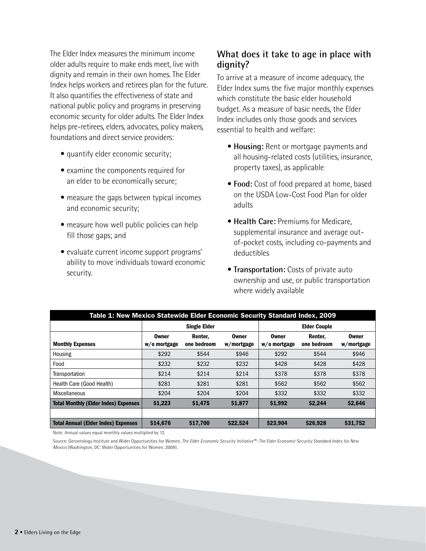The Elder Index measures the minimum income older adults require to make ends meet, live with dignity and remain in their own homes. The Elder Index helps workers and retirees plan for the future. It also quantifies the effectiveness of state and national public policy and programs in preserving economic security for older adults. The Elder Index helps pre-retirees, elders, advocates, policy makers, foundations and direct service providers:

- quantify elder economic security;
- examine the components required for an elder to be economically secure;
- measure the gaps between typical incomes and economic security;
- measure how well public policies can help fill those gaps; and
- evaluate current income support programs' ability to move individuals toward economic security.

#### **What does it take to age in place with dignity?**

To arrive at a measure of income adequacy, the Elder Index sums the five major monthly expenses which constitute the basic elder household budget. As a measure of basic needs, the Elder Index includes only those goods and services essential to health and welfare:

- • **Housing:** Rent or mortgage payments and all housing-related costs (utilities, insurance, property taxes), as applicable
- **Food:** Cost of food prepared at home, based on the USDA Low-Cost Food Plan for older adults
- **Health Care: Premiums for Medicare,** supplemental insurance and average outof-pocket costs, including co-payments and deductibles
- **Transportation:** Costs of private auto ownership and use, or public transportation where widely available

| Table 1: New Mexico Statewide Elder Economic Security Standard Index, 2009 |                       |                        |                            |                       |                        |                     |  |
|----------------------------------------------------------------------------|-----------------------|------------------------|----------------------------|-----------------------|------------------------|---------------------|--|
|                                                                            | <b>Single Elder</b>   |                        |                            | <b>Elder Couple</b>   |                        |                     |  |
| <b>Monthly Expenses</b>                                                    | Owner<br>w/o mortgage | Renter,<br>one bedroom | <b>Owner</b><br>w/mortgage | Owner<br>w/o mortgage | Renter.<br>one bedroom | Owner<br>w/mortgage |  |
| Housing                                                                    | \$292                 | \$544                  | \$946                      | \$292                 | \$544                  | \$946               |  |
| Food                                                                       | \$232                 | \$232                  | \$232                      | \$428                 | \$428                  | \$428               |  |
| Transportation                                                             | \$214                 | \$214                  | \$214                      | \$378                 | \$378                  | \$378               |  |
| Health Care (Good Health)                                                  | \$281                 | \$281                  | \$281                      | \$562                 | \$562                  | \$562               |  |
| Miscellaneous                                                              | \$204                 | \$204                  | \$204                      | \$332                 | \$332                  | \$332               |  |
| <b>Total Monthly (Elder Index) Expenses</b>                                | \$1,223               | \$1,475                | \$1,877                    | \$1,992               | \$2,244                | \$2,646             |  |
|                                                                            |                       |                        |                            |                       |                        |                     |  |
| <b>Total Annual (Elder Index) Expenses</b>                                 | \$14,676              | \$17,700               | \$22,524                   | \$23,904              | \$26,928               | \$31,752            |  |

Note: Annual values equal monthly values multiplied by 12.

Source: Gerontology Institute and Wider Opportunities for Women, *The Elder Economic Security Initiative™: The Elder Economic Security Standard Index for New Mexico* (Washington, DC: Wider Opportunities for Women, 2009).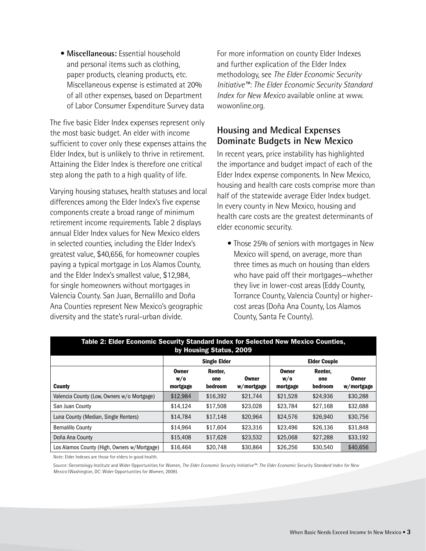• **Miscellaneous:** Essential household and personal items such as clothing, paper products, cleaning products, etc. Miscellaneous expense is estimated at 20% of all other expenses, based on Department of Labor Consumer Expenditure Survey data

The five basic Elder Index expenses represent only the most basic budget. An elder with income sufficient to cover only these expenses attains the Elder Index, but is unlikely to thrive in retirement. Attaining the Elder Index is therefore one critical step along the path to a high quality of life.

Varying housing statuses, health statuses and local differences among the Elder Index's five expense components create a broad range of minimum retirement income requirements. Table 2 displays annual Elder Index values for New Mexico elders in selected counties, including the Elder Index's greatest value, \$40,656, for homeowner couples paying a typical mortgage in Los Alamos County, and the Elder Index's smallest value, \$12,984, for single homeowners without mortgages in Valencia County. San Juan, Bernalillo and Doña Ana Counties represent New Mexico's geographic diversity and the state's rural-urban divide.

For more information on county Elder Indexes and further explication of the Elder Index methodology, see *The Elder Economic Security Initiative™: The Elder Economic Security Standard Index for New Mexico* available online at www. wowonline.org.

#### **Housing and Medical Expenses Dominate Budgets in New Mexico**

In recent years, price instability has highlighted the importance and budget impact of each of the Elder Index expense components. In New Mexico, housing and health care costs comprise more than half of the statewide average Elder Index budget. In every county in New Mexico, housing and health care costs are the greatest determinants of elder economic security.

• Those 25% of seniors with mortgages in New Mexico will spend, on average, more than three times as much on housing than elders who have paid off their mortgages—whether they live in lower-cost areas (Eddy County, Torrance County, Valencia County) or highercost areas (Doña Ana County, Los Alamos County, Santa Fe County).

| Table 2: Elder Economic Security Standard Index for Selected New Mexico Counties,<br>by Housing Status, 2009 |                          |                           |                     |                                 |                           |                            |  |  |
|--------------------------------------------------------------------------------------------------------------|--------------------------|---------------------------|---------------------|---------------------------------|---------------------------|----------------------------|--|--|
|                                                                                                              |                          | <b>Single Elder</b>       |                     | <b>Elder Couple</b>             |                           |                            |  |  |
| <b>County</b>                                                                                                | Owner<br>W/O<br>mortgage | Renter.<br>one<br>bedroom | Owner<br>w/mortgage | <b>Owner</b><br>W/O<br>mortgage | Renter.<br>one<br>bedroom | <b>Owner</b><br>w/mortgage |  |  |
| Valencia County (Low, Owners w/o Mortgage)                                                                   | \$12,984                 | \$16,392                  | \$21.744            | \$21.528                        | \$24.936                  | \$30,288                   |  |  |
| San Juan County                                                                                              | \$14.124                 | \$17,508                  | \$23,028            | \$23.784                        | \$27,168                  | \$32,688                   |  |  |
| Luna County (Median, Single Renters)                                                                         | \$14,784                 | \$17.148                  | \$20.964            | \$24,576                        | \$26,940                  | \$30,756                   |  |  |
| <b>Bernalillo County</b>                                                                                     | \$14.964                 | \$17.604                  | \$23,316            | \$23.496                        | \$26,136                  | \$31,848                   |  |  |
| Doña Ana County                                                                                              | \$15,408                 | \$17,628                  | \$23,532            | \$25,068                        | \$27,288                  | \$33,192                   |  |  |
| Los Alamos County (High, Owners w/Mortgage)                                                                  | \$16,464                 | \$20.748                  | \$30,864            | \$26,256                        | \$30.540                  | \$40,656                   |  |  |

Note: Elder Indexes are those for elders in good health.

Source: Gerontology Institute and Wider Opportunities for Women, *The Elder Economic Security Initiative™: The Elder Economic Security Standard Index for New Mexico* (Washington, DC: Wider Opportunities for Women, 2009).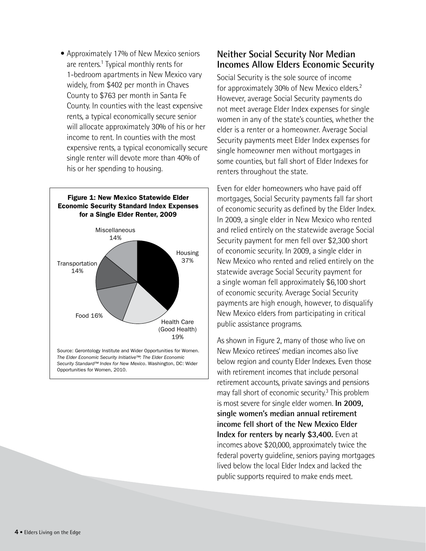• Approximately 17% of New Mexico seniors are renters.<sup>1</sup> Typical monthly rents for 1-bedroom apartments in New Mexico vary widely, from \$402 per month in Chaves County to \$763 per month in Santa Fe County. In counties with the least expensive rents, a typical economically secure senior will allocate approximately 30% of his or her income to rent. In counties with the most expensive rents, a typical economically secure single renter will devote more than 40% of his or her spending to housing.



#### **Neither Social Security Nor Median Incomes Allow Elders Economic Security**

Social Security is the sole source of income for approximately 30% of New Mexico elders.<sup>2</sup> However, average Social Security payments do not meet average Elder Index expenses for single women in any of the state's counties, whether the elder is a renter or a homeowner. Average Social Security payments meet Elder Index expenses for single homeowner men without mortgages in some counties, but fall short of Elder Indexes for renters throughout the state.

Even for elder homeowners who have paid off mortgages, Social Security payments fall far short of economic security as defined by the Elder Index. In 2009, a single elder in New Mexico who rented and relied entirely on the statewide average Social Security payment for men fell over \$2,300 short of economic security. In 2009, a single elder in New Mexico who rented and relied entirely on the statewide average Social Security payment for a single woman fell approximately \$6,100 short of economic security. Average Social Security payments are high enough, however, to disqualify New Mexico elders from participating in critical public assistance programs.

As shown in Figure 2, many of those who live on New Mexico retirees' median incomes also live below region and county Elder Indexes. Even those with retirement incomes that include personal retirement accounts, private savings and pensions may fall short of economic security.<sup>3</sup> This problem is most severe for single elder women. **In 2009, single women's median annual retirement income fell short of the New Mexico Elder Index for renters by nearly \$3,400.** Even at incomes above \$20,000, approximately twice the federal poverty guideline, seniors paying mortgages lived below the local Elder Index and lacked the public supports required to make ends meet.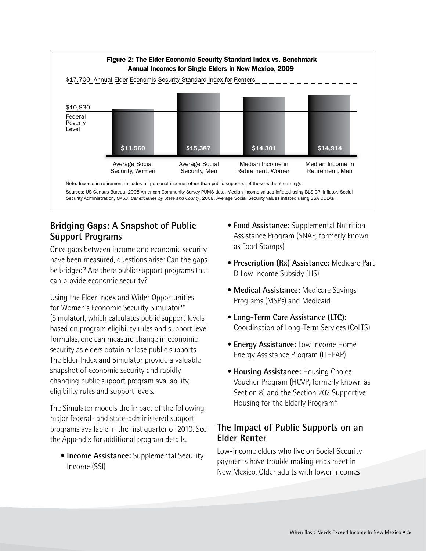

#### **Bridging Gaps: A Snapshot of Public Support Programs**

Once gaps between income and economic security have been measured, questions arise: Can the gaps be bridged? Are there public support programs that can provide economic security?

Using the Elder Index and Wider Opportunities for Women's Economic Security Simulator™ (Simulator), which calculates public support levels based on program eligibility rules and support level formulas, one can measure change in economic security as elders obtain or lose public supports. The Elder Index and Simulator provide a valuable snapshot of economic security and rapidly changing public support program availability, eligibility rules and support levels.

The Simulator models the impact of the following major federal- and state-administered support programs available in the first quarter of 2010. See the Appendix for additional program details.

**• Income Assistance:** Supplemental Security Income (SSI)

- **Food Assistance:** Supplemental Nutrition Assistance Program (SNAP, formerly known as Food Stamps)
- • **Prescription (Rx) Assistance:** Medicare Part D Low Income Subsidy (LIS)
- • **Medical Assistance:** Medicare Savings Programs (MSPs) and Medicaid
- • **Long-Term Care Assistance (LTC):** Coordination of Long-Term Services (CoLTS)
- **Energy Assistance:** Low Income Home Energy Assistance Program (LIHEAP)
- **Housing Assistance:** Housing Choice Voucher Program (HCVP, formerly known as Section 8) and the Section 202 Supportive Housing for the Elderly Program4

#### **The Impact of Public Supports on an Elder Renter**

Low-income elders who live on Social Security payments have trouble making ends meet in New Mexico. Older adults with lower incomes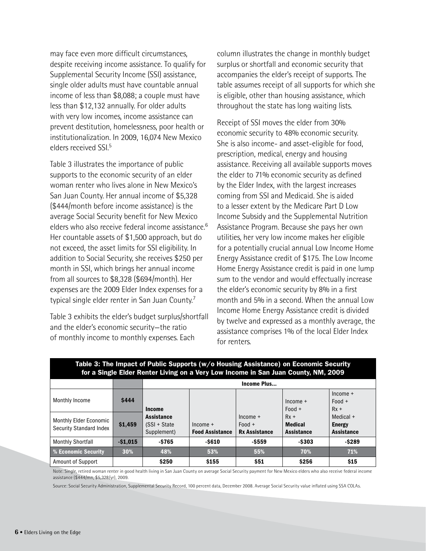may face even more difficult circumstances, despite receiving income assistance. To qualify for Supplemental Security Income (SSI) assistance, single older adults must have countable annual income of less than \$8,088; a couple must have less than \$12,132 annually. For older adults with very low incomes, income assistance can prevent destitution, homelessness, poor health or institutionalization. In 2009, 16,074 New Mexico elders received SSI.5

Table 3 illustrates the importance of public supports to the economic security of an elder woman renter who lives alone in New Mexico's San Juan County. Her annual income of \$5,328 (\$444/month before income assistance) is the average Social Security benefit for New Mexico elders who also receive federal income assistance.6 Her countable assets of \$1,500 approach, but do not exceed, the asset limits for SSI eligibility. In addition to Social Security, she receives \$250 per month in SSI, which brings her annual income from all sources to \$8,328 (\$694/month). Her expenses are the 2009 Elder Index expenses for a typical single elder renter in San Juan County.7

Table 3 exhibits the elder's budget surplus/shortfall and the elder's economic security—the ratio of monthly income to monthly expenses. Each

column illustrates the change in monthly budget surplus or shortfall and economic security that accompanies the elder's receipt of supports. The table assumes receipt of all supports for which she is eligible, other than housing assistance, which throughout the state has long waiting lists.

Receipt of SSI moves the elder from 30% economic security to 48% economic security. She is also income- and asset-eligible for food, prescription, medical, energy and housing assistance. Receiving all available supports moves the elder to 71% economic security as defined by the Elder Index, with the largest increases coming from SSI and Medicaid. She is aided to a lesser extent by the Medicare Part D Low Income Subsidy and the Supplemental Nutrition Assistance Program. Because she pays her own utilities, her very low income makes her eligible for a potentially crucial annual Low Income Home Energy Assistance credit of \$175. The Low Income Home Energy Assistance credit is paid in one lump sum to the vendor and would effectually increase the elder's economic security by 8% in a first month and 5% in a second. When the annual Low Income Home Energy Assistance credit is divided by twelve and expressed as a monthly average, the assistance comprises 1% of the local Elder Index for renters.

| Table 3: The Impact of Public Supports (w/o Housing Assistance) on Economic Security<br>for a Single Elder Renter Living on a Very Low Income in San Juan County, NM, 2009 |           |                                                   |                                      |                                                |                                               |                                                 |  |
|----------------------------------------------------------------------------------------------------------------------------------------------------------------------------|-----------|---------------------------------------------------|--------------------------------------|------------------------------------------------|-----------------------------------------------|-------------------------------------------------|--|
|                                                                                                                                                                            |           | Income Plus                                       |                                      |                                                |                                               |                                                 |  |
| Monthly Income                                                                                                                                                             | \$444     | Income                                            |                                      |                                                | $Income +$<br>$Food +$                        | $Income +$<br>$Food +$<br>$Rx +$                |  |
| <b>Monthly Elder Economic</b><br><b>Security Standard Index</b>                                                                                                            | \$1,459   | <b>Assistance</b><br>(SSI + State)<br>Supplement) | $Income +$<br><b>Food Assistance</b> | $Income +$<br>$Food +$<br><b>Rx Assistance</b> | $Rx +$<br><b>Medical</b><br><b>Assistance</b> | Medical +<br><b>Energy</b><br><b>Assistance</b> |  |
| <b>Monthly Shortfall</b>                                                                                                                                                   | $-$1.015$ | $-5765$                                           | $-$ \$610                            | $-$ \$559                                      | $-$ \$303                                     | $-$ \$289                                       |  |
| % Economic Security                                                                                                                                                        | 30%       | 48%                                               | 53%                                  | 55%                                            | 70%                                           | 71%                                             |  |
| <b>Amount of Support</b>                                                                                                                                                   |           | \$250                                             | \$155                                | \$51                                           | \$256                                         | \$15                                            |  |

### Table 3: The Impact of Public Supports (w/o Housing Assistance) on Economic Security

Note: Single, retired woman renter in good health living in San Juan County on average Social Security payment for New Mexico elders who also receive federal income assistance (\$444/mn, \$5,328/yr), 2009.

Source: Social Security Administration, Supplemental Security Record, 100 percent data, December 2008. Average Social Security value inflated using SSA COLAs.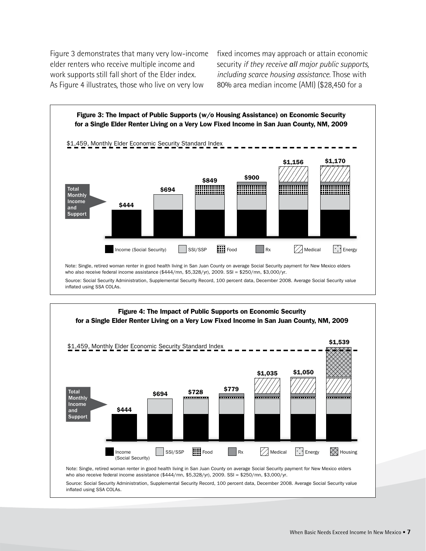Figure 3 demonstrates that many very low-income elder renters who receive multiple income and work supports still fall short of the Elder index. As Figure 4 illustrates, those who live on very low

fixed incomes may approach or attain economic security *if they receive all major public supports, including scarce housing assistance*. Those with 80% area median income (AMI) (\$28,450 for a



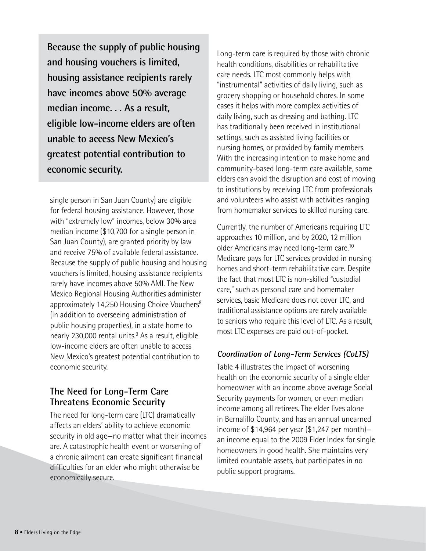**Because the supply of public housing and housing vouchers is limited, housing assistance recipients rarely have incomes above 50% average median income. . . As a result, eligible low-income elders are often unable to access New Mexico's greatest potential contribution to economic security.** 

single person in San Juan County) are eligible for federal housing assistance. However, those with "extremely low" incomes, below 30% area median income (\$10,700 for a single person in San Juan County), are granted priority by law and receive 75% of available federal assistance. Because the supply of public housing and housing vouchers is limited, housing assistance recipients rarely have incomes above 50% AMI. The New Mexico Regional Housing Authorities administer approximately 14,250 Housing Choice Vouchers<sup>8</sup> (in addition to overseeing administration of public housing properties), in a state home to nearly 230,000 rental units.<sup>9</sup> As a result, eligible low-income elders are often unable to access New Mexico's greatest potential contribution to economic security.

#### **The Need for Long-Term Care Threatens Economic Security**

The need for long-term care (LTC) dramatically affects an elders' ability to achieve economic security in old age—no matter what their incomes are. A catastrophic health event or worsening of a chronic ailment can create significant financial difficulties for an elder who might otherwise be economically secure.

Long-term care is required by those with chronic health conditions, disabilities or rehabilitative care needs. LTC most commonly helps with "instrumental" activities of daily living, such as grocery shopping or household chores. In some cases it helps with more complex activities of daily living, such as dressing and bathing. LTC has traditionally been received in institutional settings, such as assisted living facilities or nursing homes, or provided by family members. With the increasing intention to make home and community-based long-term care available, some elders can avoid the disruption and cost of moving to institutions by receiving LTC from professionals and volunteers who assist with activities ranging from homemaker services to skilled nursing care.

Currently, the number of Americans requiring LTC approaches 10 million, and by 2020, 12 million older Americans may need long-term care.10 Medicare pays for LTC services provided in nursing homes and short-term rehabilitative care. Despite the fact that most LTC is non-skilled "custodial care," such as personal care and homemaker services, basic Medicare does not cover LTC, and traditional assistance options are rarely available to seniors who require this level of LTC. As a result, most LTC expenses are paid out-of-pocket.

#### **Coordination of Long-Term Services (CoLTS)**

Table 4 illustrates the impact of worsening health on the economic security of a single elder homeowner with an income above average Social Security payments for women, or even median income among all retirees. The elder lives alone in Bernalillo County, and has an annual unearned income of \$14,964 per year (\$1,247 per month) an income equal to the 2009 Elder Index for single homeowners in good health. She maintains very limited countable assets, but participates in no public support programs.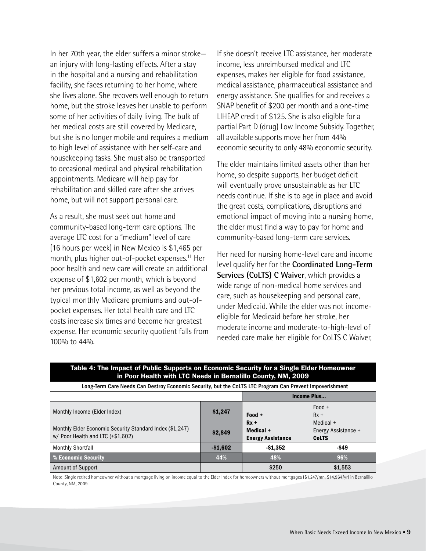In her 70th year, the elder suffers a minor stroke an injury with long-lasting effects. After a stay in the hospital and a nursing and rehabilitation facility, she faces returning to her home, where she lives alone. She recovers well enough to return home, but the stroke leaves her unable to perform some of her activities of daily living. The bulk of her medical costs are still covered by Medicare, but she is no longer mobile and requires a medium to high level of assistance with her self-care and housekeeping tasks. She must also be transported to occasional medical and physical rehabilitation appointments. Medicare will help pay for rehabilitation and skilled care after she arrives home, but will not support personal care.

As a result, she must seek out home and community-based long-term care options. The average LTC cost for a "medium" level of care (16 hours per week) in New Mexico is \$1,465 per month, plus higher out-of-pocket expenses.<sup>11</sup> Her poor health and new care will create an additional expense of \$1,602 per month, which is beyond her previous total income, as well as beyond the typical monthly Medicare premiums and out-ofpocket expenses. Her total health care and LTC costs increase six times and become her greatest expense. Her economic security quotient falls from 100% to 44%.

If she doesn't receive LTC assistance, her moderate income, less unreimbursed medical and LTC expenses, makes her eligible for food assistance, medical assistance, pharmaceutical assistance and energy assistance. She qualifies for and receives a SNAP benefit of \$200 per month and a one-time LIHEAP credit of \$125. She is also eligible for a partial Part D (drug) Low Income Subsidy. Together, all available supports move her from 44% economic security to only 48% economic security.

The elder maintains limited assets other than her home, so despite supports, her budget deficit will eventually prove unsustainable as her LTC needs continue. If she is to age in place and avoid the great costs, complications, disruptions and emotional impact of moving into a nursing home, the elder must find a way to pay for home and community-based long-term care services.

Her need for nursing home-level care and income level qualify her for the **Coordinated Long-Term Services (CoLTS) C Waiver**, which provides a wide range of non-medical home services and care, such as housekeeping and personal care, under Medicaid. While the elder was not incomeeligible for Medicaid before her stroke, her moderate income and moderate-to-high-level of needed care make her eligible for CoLTS C Waiver,

| In Poor Health With LIC Needs in Bernaillio County, NWI, 2009                                            |                    |                                                 |                                                  |  |  |  |  |  |
|----------------------------------------------------------------------------------------------------------|--------------------|-------------------------------------------------|--------------------------------------------------|--|--|--|--|--|
| Long-Term Care Needs Can Destroy Economic Security, but the CoLTS LTC Program Can Prevent Impoverishment |                    |                                                 |                                                  |  |  |  |  |  |
|                                                                                                          | <b>Income Plus</b> |                                                 |                                                  |  |  |  |  |  |
| Monthly Income (Elder Index)                                                                             | \$1,247            | Food +                                          | $Food +$<br>$Rx +$                               |  |  |  |  |  |
| Monthly Elder Economic Security Standard Index (\$1,247)<br>w/ Poor Health and LTC (+\$1,602)            | \$2,849            | $Rx +$<br>Medical +<br><b>Energy Assistance</b> | Medical +<br>Energy Assistance +<br><b>CoLTS</b> |  |  |  |  |  |
| <b>Monthly Shortfall</b>                                                                                 | $-$1,602$          | $-$1,352$                                       | -\$49                                            |  |  |  |  |  |
| % Economic Security                                                                                      | 44%                | 48%                                             | 96%                                              |  |  |  |  |  |
| <b>Amount of Support</b>                                                                                 |                    | \$250                                           | \$1,553                                          |  |  |  |  |  |

Table 4: The Impact of Public Supports on Economic Security for a Single Elder Homeowner in Poor Health with LTC Needs in Bernalillo County, NM, 2009

Note: Single retired homeowner without a mortgage living on income equal to the Elder Index for homeowners without mortgages (\$1,247/mn, \$14,964/yr) in Bernalillo County, NM, 2009.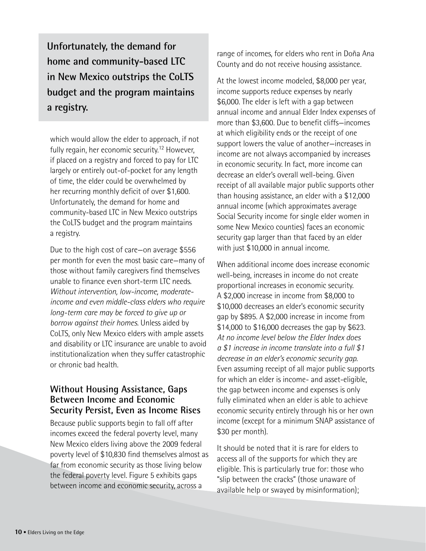**Unfortunately, the demand for home and community-based LTC in New Mexico outstrips the CoLTS budget and the program maintains a registry.**

which would allow the elder to approach, if not fully regain, her economic security.12 However, if placed on a registry and forced to pay for LTC largely or entirely out-of-pocket for any length of time, the elder could be overwhelmed by her recurring monthly deficit of over \$1,600. Unfortunately, the demand for home and community-based LTC in New Mexico outstrips the CoLTS budget and the program maintains a registry.

Due to the high cost of care—on average \$556 per month for even the most basic care—many of those without family caregivers find themselves unable to finance even short-term LTC needs. *Without intervention, low-income, moderateincome and even middle-class elders who require long-term care may be forced to give up or borrow against their homes.* Unless aided by CoLTS, only New Mexico elders with ample assets and disability or LTC insurance are unable to avoid institutionalization when they suffer catastrophic or chronic bad health.

#### **Without Housing Assistance, Gaps Between Income and Economic Security Persist, Even as Income Rises**

Because public supports begin to fall off after incomes exceed the federal poverty level, many New Mexico elders living above the 2009 federal poverty level of \$10,830 find themselves almost as far from economic security as those living below the federal poverty level. Figure 5 exhibits gaps between income and economic security, across a

range of incomes, for elders who rent in Doña Ana County and do not receive housing assistance.

At the lowest income modeled, \$8,000 per year, income supports reduce expenses by nearly \$6,000. The elder is left with a gap between annual income and annual Elder Index expenses of more than \$3,600. Due to benefit cliffs—incomes at which eligibility ends or the receipt of one support lowers the value of another—increases in income are not always accompanied by increases in economic security. In fact, more income can decrease an elder's overall well-being. Given receipt of all available major public supports other than housing assistance, an elder with a \$12,000 annual income (which approximates average Social Security income for single elder women in some New Mexico counties) faces an economic security gap larger than that faced by an elder with just \$10,000 in annual income.

When additional income does increase economic well-being, increases in income do not create proportional increases in economic security. A \$2,000 increase in income from \$8,000 to \$10,000 decreases an elder's economic security gap by \$895. A \$2,000 increase in income from \$14,000 to \$16,000 decreases the gap by \$623. *At no income level below the Elder Index does a \$1 increase in income translate into a full \$1 decrease in an elder's economic security gap.* Even assuming receipt of all major public supports for which an elder is income- and asset-eligible, the gap between income and expenses is only fully eliminated when an elder is able to achieve economic security entirely through his or her own income (except for a minimum SNAP assistance of \$30 per month).

It should be noted that it is rare for elders to access all of the supports for which they are eligible. This is particularly true for: those who "slip between the cracks" (those unaware of available help or swayed by misinformation);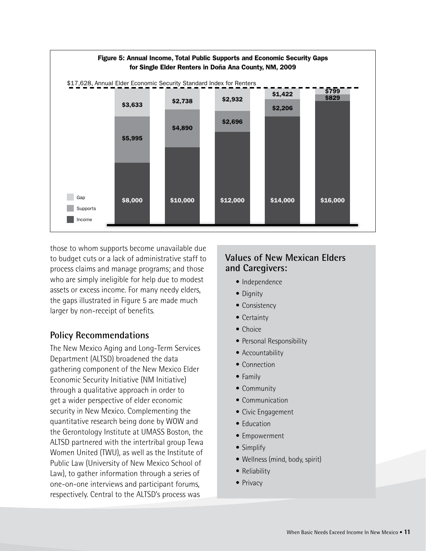

those to whom supports become unavailable due to budget cuts or a lack of administrative staff to process claims and manage programs; and those who are simply ineligible for help due to modest assets or excess income. For many needy elders, the gaps illustrated in Figure 5 are made much larger by non-receipt of benefits.

#### **Policy Recommendations**

The New Mexico Aging and Long-Term Services Department (ALTSD) broadened the data gathering component of the New Mexico Elder Economic Security Initiative (NM Initiative) through a qualitative approach in order to get a wider perspective of elder economic security in New Mexico. Complementing the quantitative research being done by WOW and the Gerontology Institute at UMASS Boston, the ALTSD partnered with the intertribal group Tewa Women United (TWU), as well as the Institute of Public Law (University of New Mexico School of Law), to gather information through a series of one-on-one interviews and participant forums, respectively. Central to the ALTSD's process was

#### **Values of New Mexican Elders and Caregivers:**

- Independence
- Dignity
- Consistency
- Certainty
- Choice
- Personal Responsibility
- Accountability
- Connection
- Family
- Community
- Communication
- Civic Engagement
- **Education**
- Empowerment
- Simplify
- Wellness (mind, body, spirit)
- Reliability
- Privacy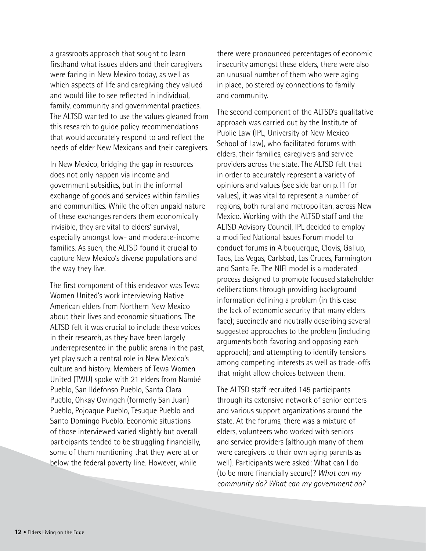a grassroots approach that sought to learn firsthand what issues elders and their caregivers were facing in New Mexico today, as well as which aspects of life and caregiving they valued and would like to see reflected in individual, family, community and governmental practices. The ALTSD wanted to use the values gleaned from this research to guide policy recommendations that would accurately respond to and reflect the needs of elder New Mexicans and their caregivers.

In New Mexico, bridging the gap in resources does not only happen via income and government subsidies, but in the informal exchange of goods and services within families and communities. While the often unpaid nature of these exchanges renders them economically invisible, they are vital to elders' survival, especially amongst low- and moderate-income families. As such, the ALTSD found it crucial to capture New Mexico's diverse populations and the way they live.

The first component of this endeavor was Tewa Women United's work interviewing Native American elders from Northern New Mexico about their lives and economic situations. The ALTSD felt it was crucial to include these voices in their research, as they have been largely underrepresented in the public arena in the past, yet play such a central role in New Mexico's culture and history. Members of Tewa Women United (TWU) spoke with 21 elders from Nambé Pueblo, San Ildefonso Pueblo, Santa Clara Pueblo, Ohkay Owingeh (formerly San Juan) Pueblo, Pojoaque Pueblo, Tesuque Pueblo and Santo Domingo Pueblo. Economic situations of those interviewed varied slightly but overall participants tended to be struggling financially, some of them mentioning that they were at or below the federal poverty line. However, while

there were pronounced percentages of economic insecurity amongst these elders, there were also an unusual number of them who were aging in place, bolstered by connections to family and community.

The second component of the ALTSD's qualitative approach was carried out by the Institute of Public Law (IPL, University of New Mexico School of Law), who facilitated forums with elders, their families, caregivers and service providers across the state. The ALTSD felt that in order to accurately represent a variety of opinions and values (see side bar on p.11 for values), it was vital to represent a number of regions, both rural and metropolitan, across New Mexico. Working with the ALTSD staff and the ALTSD Advisory Council, IPL decided to employ a modified National Issues Forum model to conduct forums in Albuquerque, Clovis, Gallup, Taos, Las Vegas, Carlsbad, Las Cruces, Farmington and Santa Fe. The NIFI model is a moderated process designed to promote focused stakeholder deliberations through providing background information defining a problem (in this case the lack of economic security that many elders face); succinctly and neutrally describing several suggested approaches to the problem (including arguments both favoring and opposing each approach); and attempting to identify tensions among competing interests as well as trade-offs that might allow choices between them.

The ALTSD staff recruited 145 participants through its extensive network of senior centers and various support organizations around the state. At the forums, there was a mixture of elders, volunteers who worked with seniors and service providers (although many of them were caregivers to their own aging parents as well). Participants were asked: What can I do (to be more financially secure)? *What can my community do? What can my government do?*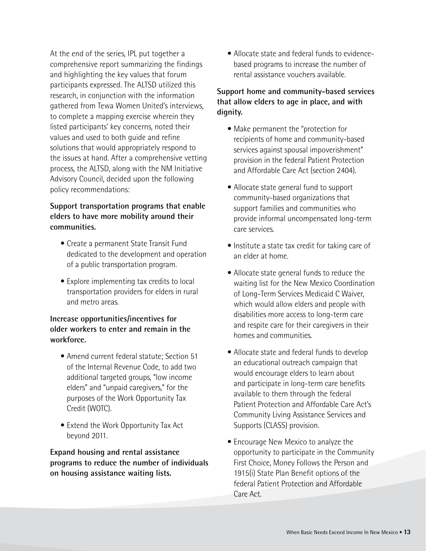At the end of the series, IPL put together a comprehensive report summarizing the findings and highlighting the key values that forum participants expressed. The ALTSD utilized this research, in conjunction with the information gathered from Tewa Women United's interviews, to complete a mapping exercise wherein they listed participants' key concerns, noted their values and used to both guide and refine solutions that would appropriately respond to the issues at hand. After a comprehensive vetting process, the ALTSD, along with the NM Initiative Advisory Council, decided upon the following policy recommendations:

#### **Support transportation programs that enable elders to have more mobility around their communities.**

- Create a permanent State Transit Fund dedicated to the development and operation of a public transportation program.
- Explore implementing tax credits to local transportation providers for elders in rural and metro areas.

#### **Increase opportunities/incentives for older workers to enter and remain in the workforce.**

- Amend current federal statute; Section 51 of the Internal Revenue Code, to add two additional targeted groups, "low income elders" and "unpaid caregivers," for the purposes of the Work Opportunity Tax Credit (WOTC).
- Extend the Work Opportunity Tax Act beyond 2011.

**Expand housing and rental assistance programs to reduce the number of individuals on housing assistance waiting lists.** 

• Allocate state and federal funds to evidencebased programs to increase the number of rental assistance vouchers available.

#### **Support home and community-based services that allow elders to age in place, and with dignity.**

- • Make permanent the "protection for recipients of home and community-based services against spousal impoverishment" provision in the federal Patient Protection and Affordable Care Act (section 2404).
- Allocate state general fund to support community-based organizations that support families and communities who provide informal uncompensated long-term care services.
- Institute a state tax credit for taking care of an elder at home.
- Allocate state general funds to reduce the waiting list for the New Mexico Coordination of Long-Term Services Medicaid C Waiver, which would allow elders and people with disabilities more access to long-term care and respite care for their caregivers in their homes and communities.
- Allocate state and federal funds to develop an educational outreach campaign that would encourage elders to learn about and participate in long-term care benefits available to them through the federal Patient Protection and Affordable Care Act's Community Living Assistance Services and Supports (CLASS) provision.
- Encourage New Mexico to analyze the opportunity to participate in the Community First Choice, Money Follows the Person and 1915(i) State Plan Benefit options of the federal Patient Protection and Affordable Care Act.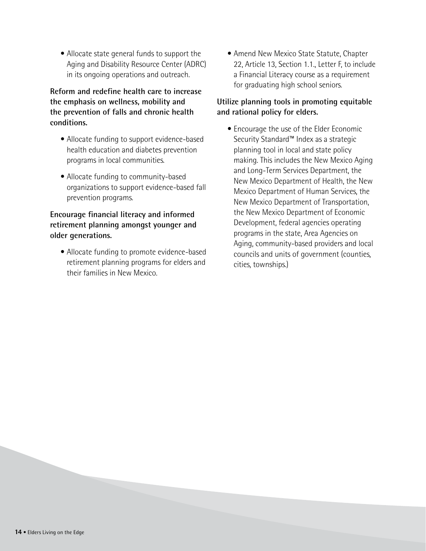• Allocate state general funds to support the Aging and Disability Resource Center (ADRC) in its ongoing operations and outreach.

#### **Reform and redefine health care to increase the emphasis on wellness, mobility and the prevention of falls and chronic health conditions.**

- Allocate funding to support evidence-based health education and diabetes prevention programs in local communities.
- Allocate funding to community-based organizations to support evidence-based fall prevention programs.

#### **Encourage financial literacy and informed retirement planning amongst younger and older generations.**

• Allocate funding to promote evidence-based retirement planning programs for elders and their families in New Mexico.

• Amend New Mexico State Statute, Chapter 22, Article 13, Section 1.1., Letter F, to include a Financial Literacy course as a requirement for graduating high school seniors.

#### **Utilize planning tools in promoting equitable and rational policy for elders.**

• Encourage the use of the Elder Economic Security Standard™ Index as a strategic planning tool in local and state policy making. This includes the New Mexico Aging and Long-Term Services Department, the New Mexico Department of Health, the New Mexico Department of Human Services, the New Mexico Department of Transportation, the New Mexico Department of Economic Development, federal agencies operating programs in the state, Area Agencies on Aging, community-based providers and local councils and units of government (counties, cities, townships.)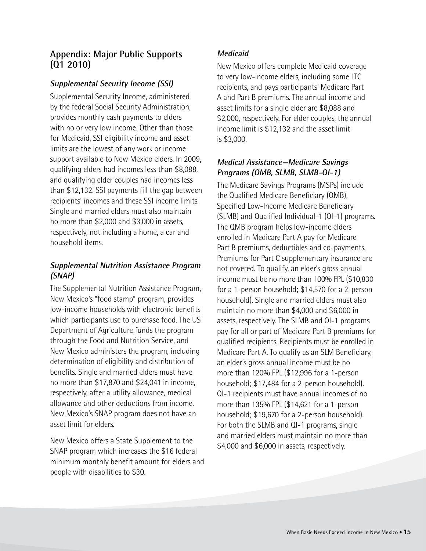#### **Appendix: Major Public Supports (Q1 2010)**

#### **Supplemental Security Income (SSI)**

Supplemental Security Income, administered by the federal Social Security Administration, provides monthly cash payments to elders with no or very low income. Other than those for Medicaid, SSI eligibility income and asset limits are the lowest of any work or income support available to New Mexico elders. In 2009, qualifying elders had incomes less than \$8,088, and qualifying elder couples had incomes less than \$12,132. SSI payments fill the gap between recipients' incomes and these SSI income limits. Single and married elders must also maintain no more than \$2,000 and \$3,000 in assets, respectively, not including a home, a car and household items.

#### **Supplemental Nutrition Assistance Program (SNAP)**

The Supplemental Nutrition Assistance Program, New Mexico's "food stamp" program, provides low-income households with electronic benefits which participants use to purchase food. The US Department of Agriculture funds the program through the Food and Nutrition Service, and New Mexico administers the program, including determination of eligibility and distribution of benefits. Single and married elders must have no more than \$17,870 and \$24,041 in income, respectively, after a utility allowance, medical allowance and other deductions from income. New Mexico's SNAP program does not have an asset limit for elders.

New Mexico offers a State Supplement to the SNAP program which increases the \$16 federal minimum monthly benefit amount for elders and people with disabilities to \$30.

#### **Medicaid**

New Mexico offers complete Medicaid coverage to very low-income elders, including some LTC recipients, and pays participants' Medicare Part A and Part B premiums. The annual income and asset limits for a single elder are \$8,088 and \$2,000, respectively. For elder couples, the annual income limit is \$12,132 and the asset limit is \$3,000.

#### **Medical Assistance—Medicare Savings Programs (QMB, SLMB, SLMB-QI-1)**

The Medicare Savings Programs (MSPs) include the Qualified Medicare Beneficiary (QMB), Specified Low-Income Medicare Beneficiary (SLMB) and Qualified Individual-1 (QI-1) programs. The QMB program helps low-income elders enrolled in Medicare Part A pay for Medicare Part B premiums, deductibles and co-payments. Premiums for Part C supplementary insurance are not covered. To qualify, an elder's gross annual income must be no more than 100% FPL (\$10,830 for a 1-person household; \$14,570 for a 2-person household). Single and married elders must also maintain no more than \$4,000 and \$6,000 in assets, respectively. The SLMB and QI-1 programs pay for all or part of Medicare Part B premiums for qualified recipients. Recipients must be enrolled in Medicare Part A. To qualify as an SLM Beneficiary, an elder's gross annual income must be no more than 120% FPL (\$12,996 for a 1-person household; \$17,484 for a 2-person household). QI-1 recipients must have annual incomes of no more than 135% FPL (\$14,621 for a 1-person household; \$19,670 for a 2-person household). For both the SLMB and QI-1 programs, single and married elders must maintain no more than \$4,000 and \$6,000 in assets, respectively.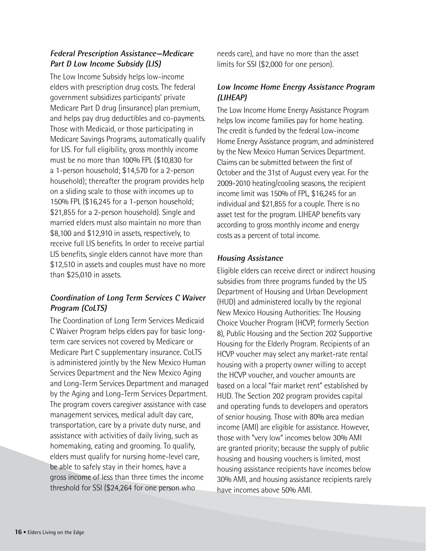#### **Federal Prescription Assistance—Medicare Part D Low Income Subsidy (LIS)**

The Low Income Subsidy helps low-income elders with prescription drug costs. The federal government subsidizes participants' private Medicare Part D drug (insurance) plan premium, and helps pay drug deductibles and co-payments. Those with Medicaid, or those participating in Medicare Savings Programs, automatically qualify for LIS. For full eligibility, gross monthly income must be no more than 100% FPL (\$10,830 for a 1-person household; \$14,570 for a 2-person household); thereafter the program provides help on a sliding scale to those with incomes up to 150% FPL (\$16,245 for a 1-person household; \$21,855 for a 2-person household). Single and married elders must also maintain no more than \$8,100 and \$12,910 in assets, respectively, to receive full LIS benefits. In order to receive partial LIS benefits, single elders cannot have more than \$12,510 in assets and couples must have no more than \$25,010 in assets.

#### **Coordination of Long Term Services C Waiver Program (CoLTS)**

The Coordination of Long Term Services Medicaid C Waiver Program helps elders pay for basic longterm care services not covered by Medicare or Medicare Part C supplementary insurance. CoLTS is administered jointly by the New Mexico Human Services Department and the New Mexico Aging and Long-Term Services Department and managed by the Aging and Long-Term Services Department. The program covers caregiver assistance with case management services, medical adult day care, transportation, care by a private duty nurse, and assistance with activities of daily living, such as homemaking, eating and grooming. To qualify, elders must qualify for nursing home-level care, be able to safely stay in their homes, have a gross income of less than three times the income threshold for SSI (\$24,264 for one person who

needs care), and have no more than the asset limits for SSI (\$2,000 for one person).

#### **Low Income Home Energy Assistance Program (LIHEAP)**

The Low Income Home Energy Assistance Program helps low income families pay for home heating. The credit is funded by the federal Low-income Home Energy Assistance program, and administered by the New Mexico Human Services Department. Claims can be submitted between the first of October and the 31st of August every year. For the 2009-2010 heating/cooling seasons, the recipient income limit was 150% of FPL, \$16,245 for an individual and \$21,855 for a couple. There is no asset test for the program. LIHEAP benefits vary according to gross monthly income and energy costs as a percent of total income.

#### **Housing Assistance**

Eligible elders can receive direct or indirect housing subsidies from three programs funded by the US Department of Housing and Urban Development (HUD) and administered locally by the regional New Mexico Housing Authorities: The Housing Choice Voucher Program (HCVP, formerly Section 8), Public Housing and the Section 202 Supportive Housing for the Elderly Program. Recipients of an HCVP voucher may select any market-rate rental housing with a property owner willing to accept the HCVP voucher, and voucher amounts are based on a local "fair market rent" established by HUD. The Section 202 program provides capital and operating funds to developers and operators of senior housing. Those with 80% area median income (AMI) are eligible for assistance. However, those with "very low" incomes below 30% AMI are granted priority; because the supply of public housing and housing vouchers is limited, most housing assistance recipients have incomes below 30% AMI, and housing assistance recipients rarely have incomes above 50% AMI.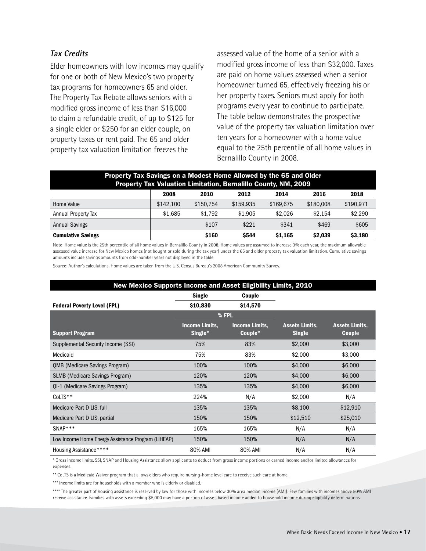#### **Tax Credits**

Elder homeowners with low incomes may qualify for one or both of New Mexico's two property tax programs for homeowners 65 and older. The Property Tax Rebate allows seniors with a modified gross income of less than \$16,000 to claim a refundable credit, of up to \$125 for a single elder or \$250 for an elder couple, on property taxes or rent paid. The 65 and older property tax valuation limitation freezes the

assessed value of the home of a senior with a modified gross income of less than \$32,000. Taxes are paid on home values assessed when a senior homeowner turned 65, effectively freezing his or her property taxes. Seniors must apply for both programs every year to continue to participate. The table below demonstrates the prospective value of the property tax valuation limitation over ten years for a homeowner with a home value equal to the 25th percentile of all home values in Bernalillo County in 2008.

| Property Tax Savings on a Modest Home Allowed by the 65 and Older<br>Property Tax Valuation Limitation, Bernalillo County, NM, 2009 |                                              |           |           |           |           |           |  |  |
|-------------------------------------------------------------------------------------------------------------------------------------|----------------------------------------------|-----------|-----------|-----------|-----------|-----------|--|--|
|                                                                                                                                     | 2008<br>2014<br>2018<br>2012<br>2016<br>2010 |           |           |           |           |           |  |  |
| Home Value                                                                                                                          | \$142,100                                    | \$150.754 | \$159.935 | \$169.675 | \$180,008 | \$190,971 |  |  |
| Annual Property Tax                                                                                                                 | \$1.685                                      | \$1.792   | \$1,905   | \$2.026   | \$2.154   | \$2,290   |  |  |
| <b>Annual Savings</b>                                                                                                               |                                              | \$107     | \$221     | \$341     | \$469     | \$605     |  |  |
| \$160<br>\$544<br>\$3,180<br><b>Cumulative Savings</b><br>\$1,165<br>\$2,039                                                        |                                              |           |           |           |           |           |  |  |

Note: Home value is the 25th percentile of all home values in Bernalillo County in 2008. Home values are assumed to increase 3% each year, the maximum allowable assessed value increase for New Mexico homes (not bought or sold during the tax year) under the 65 and older property tax valuation limitation. Cumulative savings amounts include savings amounts from odd-number years not displayed in the table.

Source: Author's calculations. Home values are taken from the U.S. Census Bureau's 2008 American Community Survey.

| New Mexico Supports Income and Asset Eligibility Limits, 2010 |                                  |                                  |                                        |                                        |  |  |  |
|---------------------------------------------------------------|----------------------------------|----------------------------------|----------------------------------------|----------------------------------------|--|--|--|
|                                                               | <b>Single</b>                    | Couple                           |                                        |                                        |  |  |  |
| <b>Federal Poverty Level (FPL)</b>                            | \$10,830                         | \$14,570                         |                                        |                                        |  |  |  |
|                                                               |                                  | % FPL                            |                                        |                                        |  |  |  |
| <b>Support Program</b>                                        | <b>Income Limits.</b><br>Single* | <b>Income Limits,</b><br>Couple* | <b>Assets Limits,</b><br><b>Single</b> | <b>Assets Limits,</b><br><b>Couple</b> |  |  |  |
| Supplemental Security Income (SSI)                            | 75%                              | 83%                              | \$2,000                                | \$3,000                                |  |  |  |
| Medicaid                                                      | 75%                              | 83%                              | \$2,000                                | \$3,000                                |  |  |  |
| <b>QMB (Medicare Savings Program)</b>                         | 100%                             | 100%                             | \$4,000                                | \$6,000                                |  |  |  |
| <b>SLMB</b> (Medicare Savings Program)                        | 120%                             | 120%                             | \$4,000                                | \$6,000                                |  |  |  |
| QI-1 (Medicare Savings Program)                               | 135%                             | 135%                             | \$4,000                                | \$6,000                                |  |  |  |
| CoLTS**                                                       | 224%                             | N/A                              | \$2,000                                | N/A                                    |  |  |  |
| Medicare Part D LIS, full                                     | 135%                             | 135%                             | \$8,100                                | \$12,910                               |  |  |  |
| Medicare Part D LIS, partial                                  | 150%                             | 150%                             | \$12,510                               | \$25,010                               |  |  |  |
| $SNAP***$                                                     | 165%                             | 165%                             | N/A                                    | N/A                                    |  |  |  |
| Low Income Home Energy Assistance Program (LIHEAP)            | 150%                             | 150%                             | N/A                                    | N/A                                    |  |  |  |
| Housing Assistance*****                                       | 80% AMI                          | 80% AMI                          | N/A                                    | N/A                                    |  |  |  |

\* Gross income limits. SSI, SNAP and Housing Assistance allow applicants to deduct from gross income portions or earned income and/or limited allowances for expenses.

\*\* CoLTS is a Medicaid Waiver program that allows elders who require nursing-home level care to receive such care at home.

\*\*\* Income limits are for households with a member who is elderly or disabled.

\*\*\*\* The greater part of housing assistance is reserved by law for those with incomes below 30% area median income (AMI). Few families with incomes above 50% AMI receive assistance. Families with assets exceeding \$5,000 may have a portion of asset-based income added to household income during eligibility determinations.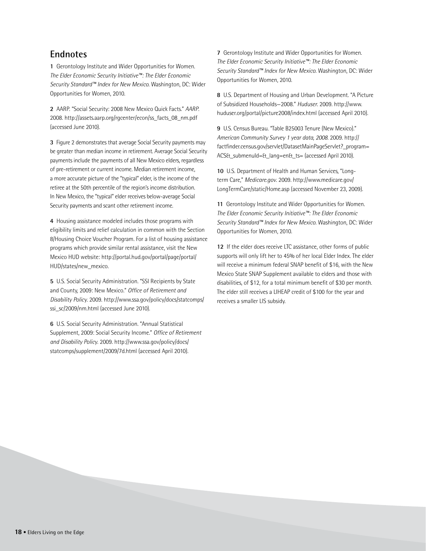#### **Endnotes**

**1** Gerontology Institute and Wider Opportunities for Women. *The Elder Economic Security Initiative™: The Elder Economic Security Standard™ Index for New Mexico*. Washington, DC: Wider Opportunities for Women, 2010.

**2** AARP. "Social Security: 2008 New Mexico Quick Facts." *AARP*. 2008. http://assets.aarp.org/rgcenter/econ/ss\_facts\_08\_nm.pdf (accessed June 2010).

**3** Figure 2 demonstrates that average Social Security payments may be greater than median income in retirement. Average Social Security payments include the payments of all New Mexico elders, regardless of pre-retirement or current income. Median retirement income, a more accurate picture of the "typical" elder, is the income of the retiree at the 50th percentile of the region's income distribution. In New Mexico, the "typical" elder receives below-average Social Security payments and scant other retirement income.

**4** Housing assistance modeled includes those programs with eligibility limits and relief calculation in common with the Section 8/Housing Choice Voucher Program. For a list of housing assistance programs which provide similar rental assistance, visit the New Mexico HUD website: http://portal.hud.gov/portal/page/portal/ HUD/states/new\_mexico.

**5** U.S. Social Security Administration. "SSI Recipients by State and County, 2009: New Mexico." *Office of Retirement and Disability Policy*. 2009. http://www.ssa.gov/policy/docs/statcomps/ ssi\_sc/2009/nm.html (accessed June 2010).

**6** U.S. Social Security Administration. "Annual Statistical Supplement, 2009: Social Security Income." *Office of Retirement and Disability Policy*. 2009. http://www.ssa.gov/policy/docs/ statcomps/supplement/2009/7d.html (accessed April 2010).

**7** Gerontology Institute and Wider Opportunities for Women. *The Elder Economic Security Initiative™: The Elder Economic Security Standard™ Index for New Mexico*. Washington, DC: Wider Opportunities for Women, 2010.

**8** U.S. Department of Housing and Urban Development. "A Picture of Subsidized Households—2008." *Huduser*. 2009. http://www. huduser.org/portal/picture2008/index.html (accessed April 2010).

**9** U.S. Census Bureau. "Table B25003 Tenure (New Mexico)." *American Community Survey 1 year data, 2008.* 2009. http:// factfinder.census.gov/servlet/DatasetMainPageServlet?\_program= ACS&\_submenuId=&\_lang=en&\_ts= (accessed April 2010).

**10** U.S. Department of Health and Human Services, "Longterm Care," *Medicare.gov*. 2009. http://www.medicare.gov/ LongTermCare/static/Home.asp (accessed November 23, 2009).

**11** Gerontology Institute and Wider Opportunities for Women. *The Elder Economic Security Initiative™: The Elder Economic Security Standard™ Index for New Mexico*. Washington, DC: Wider Opportunities for Women, 2010.

**12** If the elder does receive LTC assistance, other forms of public supports will only lift her to 45% of her local Elder Index. The elder will receive a minimum federal SNAP benefit of \$16, with the New Mexico State SNAP Supplement available to elders and those with disabilities, of \$12, for a total minimum benefit of \$30 per month. The elder still receives a LIHEAP credit of \$100 for the year and receives a smaller LIS subsidy.